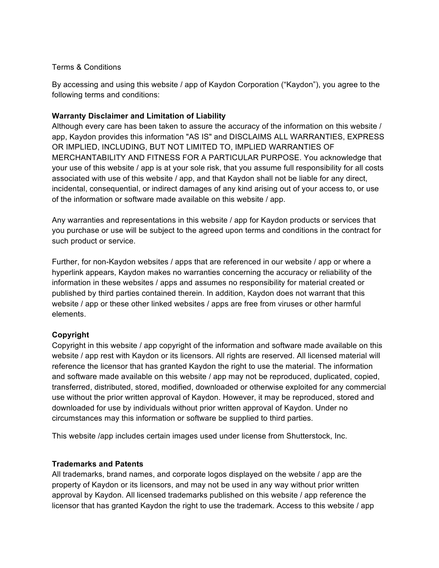#### Terms & Conditions

By accessing and using this website / app of Kaydon Corporation ("Kaydon"), you agree to the following terms and conditions:

## **Warranty Disclaimer and Limitation of Liability**

Although every care has been taken to assure the accuracy of the information on this website / app, Kaydon provides this information "AS IS" and DISCLAIMS ALL WARRANTIES, EXPRESS OR IMPLIED, INCLUDING, BUT NOT LIMITED TO, IMPLIED WARRANTIES OF MERCHANTABILITY AND FITNESS FOR A PARTICULAR PURPOSE. You acknowledge that your use of this website / app is at your sole risk, that you assume full responsibility for all costs associated with use of this website / app, and that Kaydon shall not be liable for any direct, incidental, consequential, or indirect damages of any kind arising out of your access to, or use of the information or software made available on this website / app.

Any warranties and representations in this website / app for Kaydon products or services that you purchase or use will be subject to the agreed upon terms and conditions in the contract for such product or service.

Further, for non-Kaydon websites / apps that are referenced in our website / app or where a hyperlink appears, Kaydon makes no warranties concerning the accuracy or reliability of the information in these websites / apps and assumes no responsibility for material created or published by third parties contained therein. In addition, Kaydon does not warrant that this website / app or these other linked websites / apps are free from viruses or other harmful elements.

### **Copyright**

Copyright in this website / app copyright of the information and software made available on this website / app rest with Kaydon or its licensors. All rights are reserved. All licensed material will reference the licensor that has granted Kaydon the right to use the material. The information and software made available on this website / app may not be reproduced, duplicated, copied, transferred, distributed, stored, modified, downloaded or otherwise exploited for any commercial use without the prior written approval of Kaydon. However, it may be reproduced, stored and downloaded for use by individuals without prior written approval of Kaydon. Under no circumstances may this information or software be supplied to third parties.

This website /app includes certain images used under license from Shutterstock, Inc.

### **Trademarks and Patents**

All trademarks, brand names, and corporate logos displayed on the website / app are the property of Kaydon or its licensors, and may not be used in any way without prior written approval by Kaydon. All licensed trademarks published on this website / app reference the licensor that has granted Kaydon the right to use the trademark. Access to this website / app